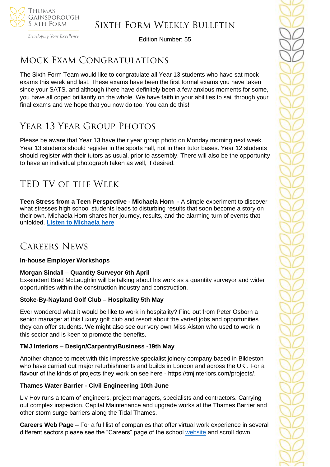

Developing Your Excellence

Edition Number: 55

# Mock Exam Congratulations

The Sixth Form Team would like to congratulate all Year 13 students who have sat mock exams this week and last. These exams have been the first formal exams you have taken since your SATS, and although there have definitely been a few anxious moments for some, you have all coped brilliantly on the whole. We have faith in your abilities to sail through your final exams and we hope that you now do too. You can do this!

# Year 13 Year Group Photos

Please be aware that Year 13 have their year group photo on Monday morning next week. Year 13 students should register in the sports hall, not in their tutor bases. Year 12 students should register with their tutors as usual, prior to assembly. There will also be the opportunity to have an individual photograph taken as well, if desired.

# TED TV of the Week

**Teen Stress from a Teen Perspective - Michaela Horn -** A simple experiment to discover what stresses high school students leads to disturbing results that soon become a story on their own. Michaela Horn shares her journey, results, and the alarming turn of events that unfolded. **[Listen to Michaela](https://www.ted.com/talks/michaela_horn_teen_stress_from_a_teen_perspective) here**

# Careers News

### **In-house Employer Workshops**

## **Morgan Sindall – Quantity Surveyor 6th April**

Ex-student Brad McLaughlin will be talking about his work as a quantity surveyor and wider opportunities within the construction industry and construction.

### **Stoke-By-Nayland Golf Club – Hospitality 5th May**

Ever wondered what it would be like to work in hospitality? Find out from Peter Osborn a senior manager at this luxury golf club and resort about the varied jobs and opportunities they can offer students. We might also see our very own Miss Alston who used to work in this sector and is keen to promote the benefits.

### **TMJ Interiors – Design/Carpentry/Business -19th May**

Another chance to meet with this impressive specialist joinery company based in Bildeston who have carried out major refurbishments and builds in London and across the UK . For a flavour of the kinds of projects they work on see here - https://tmjinteriors.com/projects/.

### **Thames Water Barrier - Civil Engineering 10th June**

Liv Hov runs a team of engineers, project managers, specialists and contractors. Carrying out complex inspection, Capital Maintenance and upgrade works at the Thames Barrier and other storm surge barriers along the Tidal Thames.

**Careers Web Page** – For a full list of companies that offer virtual work experience in several different sectors please see the "Careers" page of the school [website](https://tgschool.net/careers) and scroll down.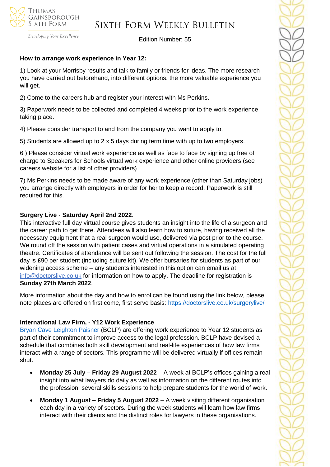

Developing Your Excellence

Edition Number: 55

#### **How to arrange work experience in Year 12:**

1) Look at your Morrisby results and talk to family or friends for ideas. The more research you have carried out beforehand, into different options, the more valuable experience you will get.

2) Come to the careers hub and register your interest with Ms Perkins.

3) Paperwork needs to be collected and completed 4 weeks prior to the work experience taking place.

4) Please consider transport to and from the company you want to apply to.

5) Students are allowed up to 2 x 5 days during term time with up to two employers.

6 ) Please consider virtual work experience as well as face to face by signing up free of charge to Speakers for Schools virtual work experience and other online providers (see careers website for a list of other providers)

7) Ms Perkins needs to be made aware of any work experience (other than Saturday jobs) you arrange directly with employers in order for her to keep a record. Paperwork is still required for this.

#### **Surgery Live** - **Saturday April 2nd 2022**.

This interactive full day virtual course gives students an insight into the life of a surgeon and the career path to get there. Attendees will also learn how to suture, having received all the necessary equipment that a real surgeon would use, delivered via post prior to the course. We round off the session with patient cases and virtual operations in a simulated operating theatre. Certificates of attendance will be sent out following the session. The cost for the full day is £90 per student (including suture kit). We offer bursaries for students as part of our widening access scheme – any students interested in this option can email us at [info@doctorslive.co.uk](mailto:info@doctorslive.co.uk) for information on how to apply. The deadline for registration is **Sunday 27th March 2022**.

More information about the day and how to enrol can be found using the link below, please note places are offered on first come, first serve basis: <https://doctorslive.co.uk/surgerylive/>

### **International Law Firm, - Y12 Work Experience**

[Bryan Cave Leighton Paisner](https://nam12.safelinks.protection.outlook.com/?url=https%3A%2F%2Fmykindacrowd.us6.list-manage.com%2Ftrack%2Fclick%3Fu%3Ded0d3c8306048bd1aa89fb8aa%26id%3Dd4b5888e23%26e%3D6a71ef3d64&data=04%7C01%7C%7Ca42d6fcdb3294051de3a08da0035846a%7C84df9e7fe9f640afb435aaaaaaaaaaaa%7C1%7C0%7C637822527094728893%7CUnknown%7CTWFpbGZsb3d8eyJWIjoiMC4wLjAwMDAiLCJQIjoiV2luMzIiLCJBTiI6Ik1haWwiLCJXVCI6Mn0%3D%7C3000&sdata=ZDGSKFlvIYYjNkmN9S6ZheP1SMAkGXRalT2hYqJWzmM%3D&reserved=0) (BCLP) are offering work experience to Year 12 students as part of their commitment to improve access to the legal profession. BCLP have devised a schedule that combines both skill development and real-life experiences of how law firms interact with a range of sectors. This programme will be delivered virtually if offices remain shut.

- **Monday 25 July – Friday 29 August 2022**  A week at BCLP's offices gaining a real insight into what lawyers do daily as well as information on the different routes into the profession, several skills sessions to help prepare students for the world of work.
- **Monday 1 August – Friday 5 August 2022** A week visiting different organisation each day in a variety of sectors. During the week students will learn how law firms interact with their clients and the distinct roles for lawyers in these organisations.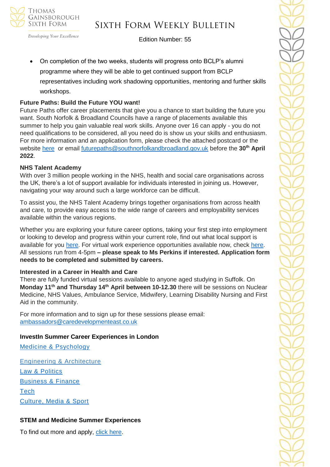

## Sixth Form Weekly Bulletin

Edition Number: 55

• On completion of the two weeks, students will progress onto BCLP's alumni programme where they will be able to get continued support from BCLP representatives including work shadowing opportunities, mentoring and further skills workshops.

#### **Future Paths: Build the Future YOU want!**

Future Paths offer career placements that give you a chance to start building the future you want. South Norfolk & Broadland Councils have a range of placements available this summer to help you gain valuable real work skills. Anyone over 16 can apply - you do not need qualifications to be considered, all you need do is show us your skills and enthusiasm. For more information and an application form, please check the attached postcard or the website [here](https://www.southnorfolkandbroadland.gov.uk/futurepaths) or email [futurepaths@southnorfolkandbroadland.gov.uk](mailto:futurepaths@southnorfolkandbroadland.gov.uk) before the **30th April 2022**.

#### **NHS Talent Academy**

With over 3 million people working in the NHS, health and social care organisations across the UK, there's a lot of support available for individuals interested in joining us. However, navigating your way around such a large workforce can be difficult.

To assist you, the NHS Talent Academy brings together organisations from across health and care, to provide easy access to the wide range of careers and employability services available within the various regions.

Whether you are exploring your future career options, taking your first step into employment or looking to develop and progress within your current role, find out what local support is available for you [here.](https://nhstalentacademy.org.uk/) For virtual work experience opportunities available now, check [here.](https://nhstalentacademy.org.uk/?s=Let%27s+Talk+About) All sessions run from 4-5pm **– please speak to Ms Perkins if interested. Application form needs to be completed and submitted by careers.**

#### **Interested in a Career in Health and Care**

There are fully funded virtual sessions available to anyone aged studying in Suffolk. On **Monday 11th and Thursday 14th April between 10-12.30** there will be sessions on Nuclear Medicine, NHS Values, Ambulance Service, Midwifery, Learning Disability Nursing and First Aid in the community.

For more information and to sign up for these sessions please email: [ambassadors@caredevelopmenteast.co.uk](mailto:ambassadors@caredevelopmenteast.co.uk)

#### **InvestIn Summer Career Experiences in London**

[Medicine & Psychology](https://investin.org/pages/choose-your-medicine-summer-experience)

[Engineering & Architecture](https://investin.org/pages/choose-your-engineering-architecture-summer-experience) [Law & Politics](https://investin.org/pages/choose-your-law-politics-summer-experience) [Business & Finance](https://investin.org/pages/choose-your-business-finance-summer-experience) **[Tech](https://investin.org/pages/choose-your-tech-summer-experience)** [Culture, Media & Sport](https://investin.org/pages/choose-your-culture-media-sport-summer-experience)

### **STEM and Medicine Summer Experiences**

To find out more and apply, [click here.](https://investin.org/pages/choose-your-stem-summer-experience?utm_source=UK+SCHOOLS+MASTER&utm_campaign=a31ab330e2-bankersschoolmar_COPY_01&utm_medium=email&utm_term=0_bfccb03bbd-a31ab330e2-137697031&mc_cid=a31ab330e2&mc_eid=894e4199ae)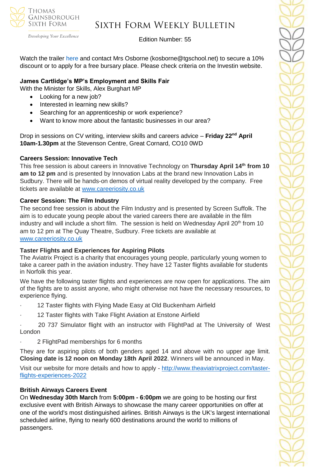

# Sixth Form Weekly Bulletin

Edition Number: 55

Watch the trailer [here](https://investin.org/blogs/news/summer-experiences-2022?utm_source=UK+SCHOOLS+MASTER&utm_campaign=b369a1e6b8-bankersschoolmar_COPY_01&utm_medium=email&utm_term=0_bfccb03bbd-b369a1e6b8-139395613&mc_cid=b369a1e6b8&mc_eid=0dcddf7ff6) and contact Mrs Osborne (kosborne@tgschool.net) to secure a 10% discount or to apply for a free bursary place. Please check criteria on the Investin website.

## **James Cartlidge's MP's Employment and Skills Fair**

With the Minister for Skills, Alex Burghart MP

- Looking for a new job?
- Interested in learning new skills?
- Searching for an apprenticeship or work experience?
- Want to know more about the fantastic businesses in our area?

Drop in sessions on CV writing, interview skills and careers advice – **Friday 22nd April 10am-1.30pm** at the Stevenson Centre, Great Cornard, CO10 0WD

### **Careers Session: Innovative Tech**

This free session is about careers in Innovative Technology on **Thursday April 14th from 10 am to 12 pm** and is presented by Innovation Labs at the brand new Innovation Labs in Sudbury. There will be hands-on demos of virtual reality developed by the company. Free tickets are available at [www.careeriosity.co.uk](https://nam12.safelinks.protection.outlook.com/?url=http%3A%2F%2Fwww.careeriosity.co.uk%2F&data=04%7C01%7C%7C11af033e730b41dd16a108da0bfd75ea%7C84df9e7fe9f640afb435aaaaaaaaaaaa%7C1%7C0%7C637835481840204834%7CUnknown%7CTWFpbGZsb3d8eyJWIjoiMC4wLjAwMDAiLCJQIjoiV2luMzIiLCJBTiI6Ik1haWwiLCJXVCI6Mn0%3D%7C3000&sdata=DUHSGp%2BPezxNxHfTiRqM%2FbLZ0Ssgc6UdfYJGw9sIit4%3D&reserved=0)

## **Career Session: The Film Industry**

The second free session is about the Film Industry and is presented by Screen Suffolk. The aim is to educate young people about the varied careers there are available in the film industry and will include a short film. The session is held on Wednesday April 20<sup>th</sup> from 10 am to 12 pm at The Quay Theatre, Sudbury. Free tickets are available at [www.careeriosity.co.uk](https://nam12.safelinks.protection.outlook.com/?url=http%3A%2F%2Fwww.careeriosity.co.uk%2F&data=04%7C01%7C%7C11af033e730b41dd16a108da0bfd75ea%7C84df9e7fe9f640afb435aaaaaaaaaaaa%7C1%7C0%7C637835481840204834%7CUnknown%7CTWFpbGZsb3d8eyJWIjoiMC4wLjAwMDAiLCJQIjoiV2luMzIiLCJBTiI6Ik1haWwiLCJXVCI6Mn0%3D%7C3000&sdata=DUHSGp%2BPezxNxHfTiRqM%2FbLZ0Ssgc6UdfYJGw9sIit4%3D&reserved=0)

### **Taster Flights and Experiences for Aspiring Pilots**

The Aviatrix Project is a charity that encourages young people, particularly young women to take a career path in the aviation industry. They have 12 Taster flights available for students in Norfolk this year.

We have the following taster flights and experiences are now open for applications. The aim of the fights are to assist anyone, who might otherwise not have the necessary resources, to experience flying.

- 12 Taster flights with Flying Made Easy at Old Buckenham Airfield
- 12 Taster flights with Take Flight Aviation at Enstone Airfield
- · 20 737 Simulator flight with an instructor with FlightPad at The University of West London
- · 2 FlightPad memberships for 6 months

They are for aspiring pilots of both genders aged 14 and above with no upper age limit. **Closing date is 12 noon on Monday 18th April 2022**. Winners will be announced in May.

Visit our website for more details and how to apply - [http://www.theaviatrixproject.com/taster](http://www.theaviatrixproject.com/taster-flights-experiences-2022)[flights-experiences-2022](http://www.theaviatrixproject.com/taster-flights-experiences-2022)

## **British Airways Careers Event**

On **Wednesday 30th March** from **5:00pm - 6:00pm** we are going to be hosting our first exclusive event with British Airways to showcase the many career opportunities on offer at one of the world's most distinguished airlines. British Airways is the UK's largest international scheduled airline, flying to nearly 600 destinations around the world to millions of passengers.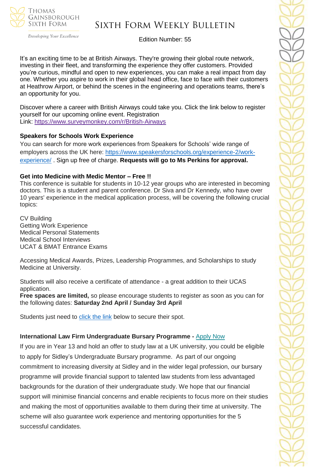

## Sixth Form Weekly Bulletin

Edition Number: 55

It's an exciting time to be at British Airways. They're growing their global route network, investing in their fleet, and transforming the experience they offer customers. Provided you're curious, mindful and open to new experiences, you can make a real impact from day one. Whether you aspire to work in their global head office, face to face with their customers at Heathrow Airport, or behind the scenes in the engineering and operations teams, there's an opportunity for you.

Discover where a career with British Airways could take you. Click the link below to register yourself for our upcoming online event. Registration Link: <https://www.surveymonkey.com/r/British-Airways>

#### **Speakers for Schools Work Experience**

You can search for more work experiences from Speakers for Schools' wide range of employers across the UK here: [https://www.speakersforschools.org/experience-2/work](https://www.speakersforschools.org/experience-2/work-experience/)[experience/](https://www.speakersforschools.org/experience-2/work-experience/) . Sign up free of charge. **Requests will go to Ms Perkins for approval.**

#### **Get into Medicine with Medic Mentor – Free !!**

This conference is suitable for students in 10-12 year groups who are interested in becoming doctors. This is a student and parent conference. Dr Siva and Dr Kennedy, who have over 10 years' experience in the medical application process, will be covering the following crucial topics:

CV Building Getting Work Experience Medical Personal Statements Medical School Interviews UCAT & BMAT Entrance Exams

Accessing Medical Awards, Prizes, Leadership Programmes, and Scholarships to study Medicine at University.

Students will also receive a certificate of attendance - a great addition to their UCAS application.

**Free spaces are limited,** so please encourage students to register as soon as you can for the following dates: **Saturday 2nd April / Sunday 3rd April**

Students just need to [click the link](https://medicmentor.co.uk/get-into-conferences/) below to secure their spot.

### **International Law Firm Undergraduate Bursary Programme -** [Apply](https://successatschool.us3.list-manage.com/track/click?u=2c038531b25876a2c7c9cf8b1&id=d133ba6aca&e=530f418f3c) Now

If you are in Year 13 and hold an offer to study law at a UK university, you could be eligible to apply for Sidley's Undergraduate Bursary programme. As part of our ongoing commitment to increasing diversity at Sidley and in the wider legal profession, our bursary programme will provide financial support to talented law students from less advantaged backgrounds for the duration of their undergraduate study. We hope that our financial support will minimise financial concerns and enable recipients to focus more on their studies and making the most of opportunities available to them during their time at university. The scheme will also guarantee work experience and mentoring opportunities for the 5 successful candidates.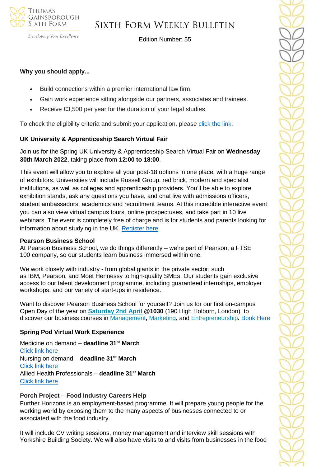

Developing Your Excellence

Edition Number: 55

#### **Why you should apply...**

- Build connections within a premier international law firm.
- Gain work experience sitting alongside our partners, associates and trainees.
- Receive £3,500 per year for the duration of your legal studies.

To check the eligibility criteria and submit your application, please [click](https://www.sidleycareers.com/en/europe/london-opportunities?tab=london-undergraduate-bursary-programme&goal=0_65c6d67e71-ee29717514-212136547&mc_cid=ee29717514&mc_eid=530f418f3c) the link.

### **UK University & Apprenticeship Search Virtual Fair**

Join us for the Spring UK University & Apprenticeship Search Virtual Fair on **Wednesday 30th March 2022**, taking place from **12:00 to 18:00**.

This event will allow you to explore all your post-18 options in one place, with a huge range of exhibitors. Universities will include Russell Group, red brick, modern and specialist institutions, as well as colleges and apprenticeship providers. You'll be able to explore exhibition stands, ask any questions you have, and chat live with admissions officers, student ambassadors, academics and recruitment teams. At this incredible interactive event you can also view virtual campus tours, online prospectuses, and take part in 10 live webinars. The event is completely free of charge and is for students and parents looking for information about studying in the UK. [Register here.](https://ukunisearch.vfairs.com/en/registration)

#### **Pearson Business School**

At Pearson Business School, we do things differently – we're part of Pearson, a FTSE 100 company, so our students learn business immersed within one.

We work closely with industry - from global giants in the private sector, such as IBM**,** Pearson, and Moët Hennessy to high-quality SMEs. Our students gain exclusive access to our talent development programme, including guaranteed internships, employer workshops, and our variety of start-ups in residence.

Want to discover Pearson Business School for yourself? Join us for our first [on-campus](https://successatschool.us3.list-manage.com/track/click?u=2c038531b25876a2c7c9cf8b1&id=d1ba79389d&e=530f418f3c) [Open](https://successatschool.us3.list-manage.com/track/click?u=2c038531b25876a2c7c9cf8b1&id=d1ba79389d&e=530f418f3c) Day of the year on **[Saturday](https://successatschool.us3.list-manage.com/track/click?u=2c038531b25876a2c7c9cf8b1&id=b3effc76e1&e=530f418f3c) 2nd April @1030** (190 High Holborn, London) to discover our business courses in [Management](https://successatschool.us3.list-manage.com/track/click?u=2c038531b25876a2c7c9cf8b1&id=c92ac9f9e4&e=530f418f3c)**,** [Marketing](https://successatschool.us3.list-manage.com/track/click?u=2c038531b25876a2c7c9cf8b1&id=355b311ed3&e=530f418f3c)**,** and [Entrepreneurship](https://successatschool.us3.list-manage.com/track/click?u=2c038531b25876a2c7c9cf8b1&id=50085a315d&e=530f418f3c)**.** [Book Here](https://www.pearsoncollegelondon.ac.uk/pearson-business-school/visit-us/events/undergraduate-open-days.html?utm_source=successatschool&utm_medium=email_influencer&utm_campaign=opendays2022_pbs_ug&utm_content=successatschool_pbs_march&goal=0_65c6d67e71-dcbab7423a-212136547&mc_cid=dcbab7423a&mc_eid=530f418f3c)

### **Spring Pod Virtual Work Experience**

Medicine on demand – **deadline 31st March** [Click link here](https://www.springpod.com/virtual-work-experience/health-education-england-medicine-online-work-related-learning?utm_source=febpdf&utm_medium=email&utm_campaign=vwex&utm_term=vwex_febpdf&utm_content=vwex_febpdf_medicine_hee) Nursing on demand – **deadline 31st March** [Click link here](https://www.springpod.com/virtual-work-experience/health-education-england-nursing-online-work-related-learning?utm_source=febpdf&utm_medium=email&utm_campaign=vwex&utm_term=vwex_febpdf&utm_content=vwex_febpdf_nursing_hee) Allied Health Professionals – **deadline 31st March** [Click link here](https://www.springpod.com/virtual-work-experience/allied-health-professional-online-work-related-learning?utm_source=febpdf&utm_medium=email&utm_campaign=vwex&utm_term=vwex_febpdf&utm_content=vwex_febpdf_ahp_on_demand)

### **Porch Project – Food Industry Careers Help**

Further Horizons is an employment-based programme. It will prepare young people for the working world by exposing them to the many aspects of businesses connected to or associated with the food industry.

It will include CV writing sessions, money management and interview skill sessions with Yorkshire Building Society. We will also have visits to and visits from businesses in the food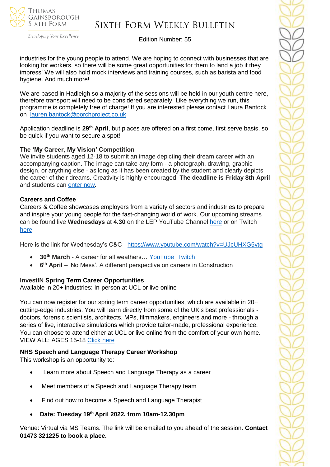

# Sixth Form Weekly Bulletin

Edition Number: 55

industries for the young people to attend. We are hoping to connect with businesses that are looking for workers, so there will be some great opportunities for them to land a job if they impress! We will also hold mock interviews and training courses, such as barista and food hygiene. And much more!

We are based in Hadleigh so a majority of the sessions will be held in our youth centre here, therefore transport will need to be considered separately. Like everything we run, this programme is completely free of charge! If you are interested please contact Laura Bantock on [lauren.bantock@porchproject.co.uk](mailto:lauren.bantock@porchproject.co.uk)

Application deadline is **29th April**, but places are offered on a first come, first serve basis, so be quick if you want to secure a spot!

#### **The 'My Career, My Vision' Competition**

We invite students aged 12-18 to submit an image depicting their dream career with an accompanying caption. The image can take any form - a photograph, drawing, graphic design, or anything else - as long as it has been created by the student and clearly depicts the career of their dreams. Creativity is highly encouraged! **The deadline is Friday 8th April**  and students can [enter now.](https://investin.org/blogs/news/careers-week-competition?utm_source=UK+SCHOOLS+MASTER&utm_campaign=9d91cb935c-bankersschoolmar_COPY_01&utm_medium=email&utm_term=0_bfccb03bbd-9d91cb935c-137697031&mc_cid=9d91cb935c&mc_eid=894e4199ae)

#### **Careers and Coffee**

Careers & Coffee showcases employers from a variety of sectors and industries to prepare and inspire your young people for the fast-changing world of work. Our upcoming streams can be found live **Wednesdays** at **4.30** on the LEP YouTube Channel [here](https://emea01.safelinks.protection.outlook.com/?url=https%3A%2F%2Fwww.youtube.com%2Fchannel%2FUCMQWGt6SdsGQF-KJCq7JTwQ&data=04%7C01%7C%7C4c6c44ecc3fb4f20ff7908d9db3b3618%7C84df9e7fe9f640afb435aaaaaaaaaaaa%7C1%7C0%7C637781869767327633%7CUnknown%7CTWFpbGZsb3d8eyJWIjoiMC4wLjAwMDAiLCJQIjoiV2luMzIiLCJBTiI6Ik1haWwiLCJXVCI6Mn0%3D%7C3000&sdata=jcnjPssNA6CGryLNqRJMQzfb7UnLUOJ3WUdL%2FnQhejw%3D&reserved=0) or on Twitch [here.](https://emea01.safelinks.protection.outlook.com/?url=https%3A%2F%2Fwww.twitch.tv%2FNewAngliaEAN&data=04%7C01%7C%7C4c6c44ecc3fb4f20ff7908d9db3b3618%7C84df9e7fe9f640afb435aaaaaaaaaaaa%7C1%7C0%7C637781869767327633%7CUnknown%7CTWFpbGZsb3d8eyJWIjoiMC4wLjAwMDAiLCJQIjoiV2luMzIiLCJBTiI6Ik1haWwiLCJXVCI6Mn0%3D%7C3000&sdata=%2BC%2F2NVk7rCN9nN0gPB86AdBavn%2BdywBz%2FR1nbIo0XG8%3D&reserved=0)

Here is the link for Wednesday's C&C - [https://www.youtube.com/watch?v=UJcUHXG5vtg](https://emea01.safelinks.protection.outlook.com/?url=https%3A%2F%2Fwww.youtube.com%2Fwatch%3Fv%3DUJcUHXG5vtg&data=04%7C01%7C%7C4c6c44ecc3fb4f20ff7908d9db3b3618%7C84df9e7fe9f640afb435aaaaaaaaaaaa%7C1%7C0%7C637781869767327633%7CUnknown%7CTWFpbGZsb3d8eyJWIjoiMC4wLjAwMDAiLCJQIjoiV2luMzIiLCJBTiI6Ik1haWwiLCJXVCI6Mn0%3D%7C3000&sdata=QmwZMfWApfz3NYzqKGZdNMm6DnYKNSnpPCkWXQ5qlMw%3D&reserved=0)

- **30th March** A career for all weathers… YouTube [Twitch](https://emea01.safelinks.protection.outlook.com/?url=https%3A%2F%2Fwww.twitch.tv%2FNewAngliaEAN&data=04%7C01%7C%7C4c6c44ecc3fb4f20ff7908d9db3b3618%7C84df9e7fe9f640afb435aaaaaaaaaaaa%7C1%7C0%7C637781869767327633%7CUnknown%7CTWFpbGZsb3d8eyJWIjoiMC4wLjAwMDAiLCJQIjoiV2luMzIiLCJBTiI6Ik1haWwiLCJXVCI6Mn0%3D%7C3000&sdata=%2BC%2F2NVk7rCN9nN0gPB86AdBavn%2BdywBz%2FR1nbIo0XG8%3D&reserved=0)
- **6 th April** 'No Mess'. A different perspective on careers in Construction

#### **InvestIN Spring Term Career Opportunities**

Available in 20+ industries: In-person at UCL or live online

You can now register for our spring term career opportunities, which are available in 20+ cutting-edge industries. You will learn directly from some of the UK's best professionals doctors, forensic scientists, architects, MPs, filmmakers, engineers and more - through a series of live, interactive simulations which provide tailor-made, professional experience. You can choose to attend either at UCL or live online from the comfort of your own home. VIEW ALL: AGES 15-18 [Click here](https://investin.org/pages/spring-term-career-programmes-15-18?utm_source=UK+SCHOOLS+MASTER&utm_campaign=3b31a67736-bankersschoolmar_COPY_01&utm_medium=email&utm_term=0_bfccb03bbd-3b31a67736-137697031&mc_cid=3b31a67736&mc_eid=894e4199ae)

#### **NHS Speech and Language Therapy Career Workshop**

This workshop is an opportunity to:

- Learn more about Speech and Language Therapy as a career
- Meet members of a Speech and Language Therapy team
- Find out how to become a Speech and Language Therapist
- **Date: Tuesday 19th April 2022, from 10am-12.30pm**

Venue: Virtual via MS Teams. The link will be emailed to you ahead of the session. **Contact 01473 321225 to book a place.**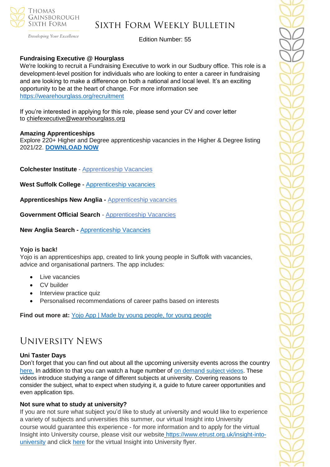

Developing Your Excellence

Edition Number: 55

### **Fundraising Executive @ Hourglass**

We're looking to recruit a Fundraising Executive to work in our Sudbury office. This role is a development-level position for individuals who are looking to enter a career in fundraising and are looking to make a difference on both a national and local level. It's an exciting opportunity to be at the heart of change. For more information see <https://wearehourglass.org/recruitment>

If you're interested in applying for this role, please send your CV and cover letter to [chiefexecutive@wearehourglass.org](mailto:chiefexecutive@wearehourglass.org)

#### **Amazing Apprenticeships**

Explore 220+ Higher and Degree apprenticeship vacancies in the Higher & Degree listing 2021/22. **[DOWNLOAD NOW](https://amazingapprenticeships.com/resource/higher-and-degree-listing/)**

**Colchester Institute** - Apprenticeship Vacancies

**West Suffolk College -** [Apprenticeship vacancies](https://www.wsc.ac.uk/find-a-course/apprenticeships)

**Apprenticeships New Anglia -** [Apprenticeship vacancies](https://www.apprenticeshipsnewanglia.co.uk/)

**Government Official Search** - [Apprenticeship Vacancies](https://www.gov.uk/apply-apprenticeship)

**New Anglia Search -** [Apprenticeship Vacancies](https://v2.apprenticeshipsnewanglia.co.uk/apprenticeships/search/?s_query=&s_location=&s_distance=30&s_trade=0&s_apprenticeshipLevel=0&prop_View=list&prop_sort=created+desc)

#### **Yojo is back!**

Yojo is an apprenticeships app, created to link young people in Suffolk with vacancies, advice and organisational partners. The app includes:

- Live vacancies
- CV builder
- Interview practice quiz
- Personalised recommendations of career paths based on interests

**Find out more at:** [Yojo App | Made by young people, for young people](https://emea01.safelinks.protection.outlook.com/?url=https%3A%2F%2Fyojoapp.co.uk%2F&data=04%7C01%7C%7C4c6c44ecc3fb4f20ff7908d9db3b3618%7C84df9e7fe9f640afb435aaaaaaaaaaaa%7C1%7C0%7C637781869767483855%7CUnknown%7CTWFpbGZsb3d8eyJWIjoiMC4wLjAwMDAiLCJQIjoiV2luMzIiLCJBTiI6Ik1haWwiLCJXVCI6Mn0%3D%7C3000&sdata=9WtYUB305aPkl6q46VQFnWxhGcaNixIyQ7zb9qHytQc%3D&reserved=0)

## University News

#### **Uni Taster Days**

Don't forget that you can find out about all the upcoming university events across the country [here.](https://www.unitasterdays.com/search.aspx) In addition to that you can watch a huge number of on demand [subject videos.](https://www.unitasterdays.com/ondemand) These videos introduce studying a range of different subjects at university. Covering reasons to consider the subject, what to expect when studying it, a guide to future career opportunities and even application tips.

### **Not sure what to study at university?**

If you are not sure what subject you'd like to study at university and would like to experience a variety of subjects and universities this summer, our virtual Insight into University course would guarantee this experience - for more information and to apply for the virtual Insight into University course, please visit our website [https://www.etrust.org.uk/insight-into](https://www.etrust.org.uk/insight-into-university)[university](https://www.etrust.org.uk/insight-into-university) and click [here](https://dd233f6a-c442-4437-a8e1-9e42987b6020.filesusr.com/ugd/4517c8_fcb7add322ae4a1eab2156347e1f2442.pdf) for the virtual Insight into University flyer.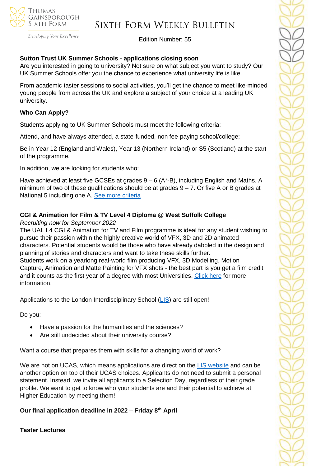

# Sixth Form Weekly Bulletin

Edition Number: 55

#### **Sutton Trust UK Summer Schools - applications closing soon**

Are you interested in going to university? Not sure on what subject you want to study? Our UK Summer Schools offer you the chance to experience what university life is like.

From academic taster sessions to social activities, you'll get the chance to meet like-minded young people from across the UK and explore a subject of your choice at a leading UK university.

#### **Who Can Apply?**

Students applying to UK Summer Schools must meet the following criteria:

Attend, and have always attended, a state-funded, non fee-paying school/college;

Be in Year 12 (England and Wales), Year 13 (Northern Ireland) or S5 (Scotland) at the start of the programme.

In addition, we are looking for students who:

Have achieved at least five GCSEs at grades  $9 - 6$  (A\*-B), including English and Maths. A minimum of two of these qualifications should be at grades  $9 - 7$ . Or five A or B grades at National 5 including one A. See more [criteria](https://www.suttontrust.com/our-programmes/uk-summer-schools/?utm_source=Head+of+Sixth+Free+Newsletter&utm_campaign=99b194e2d6-March+16+student+campaign&utm_medium=email&utm_term=0_36c44588b4-99b194e2d6-115737769&mc_cid=99b194e2d6&mc_eid=51b5a4fd55)

#### **CGI & Animation for Film & TV Level 4 Diploma @ West Suffolk College**

*Recruiting now for September 2022*

The UAL L4 CGI & Animation for TV and Film programme is ideal for any student wishing to pursue their passion within the highly creative world of VFX, 3D and 2D animated characters. Potential students would be those who have already dabbled in the design and planning of stories and characters and want to take these skills further. Students work on a yearlong real-world film producing VFX, 3D Modelling, Motion Capture, Animation and Matte Painting for VFX shots - the best part is you get a film credit and it counts as the first year of a degree with most Universities. [Click here](https://www.wsc.ac.uk/courses/level-4-professional-diplomas/754-level-4/9768-cgi-and-animation-for-tv-and-film-diploma-level-4-22vf394099) for more information.

Applications to the London Interdisciplinary School [\(LIS\)](https://emea01.safelinks.protection.outlook.com/?url=https%3A%2F%2Fschools.tecl.co.uk%2Feducationcompany5lz%2Flz.aspx%3Fp1%3DMuzDU3NjA0MjA1Uzk0NzE6NkYwQjdEMTg3QzdEMTdCODZFRjcxMENBNDUyNEYwN0M%253d-%26CC%3D%26w%3D5511&data=04%7C01%7C%7C39fcd5037de64b1f134108d9db3b46e6%7C84df9e7fe9f640afb435aaaaaaaaaaaa%7C1%7C0%7C637781869903019097%7CUnknown%7CTWFpbGZsb3d8eyJWIjoiMC4wLjAwMDAiLCJQIjoiV2luMzIiLCJBTiI6Ik1haWwiLCJXVCI6Mn0%3D%7C3000&sdata=pgQvu53gpi%2Fe%2F8%2BCNPs9L2gikEtVgERhZ9O0%2FbkIqeQ%3D&reserved=0) are still open!

Do you:

- Have a passion for the humanities and the sciences?
- Are still undecided about their university course?

Want a course that prepares them with skills for a changing world of work?

We are not on UCAS, which means applications are direct on the [LIS website](https://emea01.safelinks.protection.outlook.com/?url=https%3A%2F%2Fschools.tecl.co.uk%2Feducationcompany5lz%2Flz.aspx%3Fp1%3DMuzDU3NjA0MjA1Uzk0NzE6NkYwQjdEMTg3QzdEMTdCODZFRjcxMENBNDUyNEYwN0M%253d-%26CC%3D%26w%3D8515&data=04%7C01%7C%7C39fcd5037de64b1f134108d9db3b46e6%7C84df9e7fe9f640afb435aaaaaaaaaaaa%7C1%7C0%7C637781869903019097%7CUnknown%7CTWFpbGZsb3d8eyJWIjoiMC4wLjAwMDAiLCJQIjoiV2luMzIiLCJBTiI6Ik1haWwiLCJXVCI6Mn0%3D%7C3000&sdata=8Hlbt%2BgSl0U8BdHh3CK1iY0dZPD2WXrFZ8gatSx1i2Q%3D&reserved=0) and can be another option on top of their UCAS choices. Applicants do not need to submit a personal statement. Instead, we invite all applicants to a Selection Day, regardless of their grade profile. We want to get to know who your students are and their potential to achieve at Higher Education by meeting them!

**Our final application deadline in 2022 – Friday 8th April**

**Taster Lectures**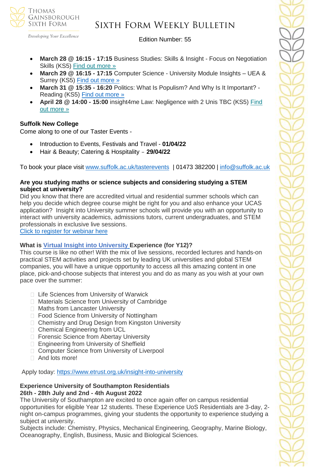

## Sixth Form Weekly Bulletin

Edition Number: 55

- **March 28 @ 16:15 - 17:15** Business Studies: Skills & Insight Focus on Negotiation Skills (KS5) Find out [more](https://channeltalent.us10.list-manage.com/track/click?u=145837fa6843e0c349598322a&id=f308f3946f&e=155232616c) »
- **March 29 @ 16:15 - 17:15** Computer Science University Module Insights UEA & Surrey (KS5) [Find out more »](https://nam12.safelinks.protection.outlook.com/?url=https%3A%2F%2Fchanneltalent.us10.list-manage.com%2Ftrack%2Fclick%3Fu%3D145837fa6843e0c349598322a%26id%3D0e37665c46%26e%3D155232616c&data=04%7C01%7C%7C2e8513d613b143a85ebd08da01bc7e52%7C84df9e7fe9f640afb435aaaaaaaaaaaa%7C1%7C0%7C637824206328267943%7CUnknown%7CTWFpbGZsb3d8eyJWIjoiMC4wLjAwMDAiLCJQIjoiV2luMzIiLCJBTiI6Ik1haWwiLCJXVCI6Mn0%3D%7C3000&sdata=ei01dAEG4X2KRRitRi%2FZsg%2BUzFjEHs5rjwshc2DFJ9o%3D&reserved=0)
- **March 31 @ 15:35 - 16:20** Politics: What Is Populism? And Why Is It Important? Reading (KS5) Find out [more](https://channeltalent.us10.list-manage.com/track/click?u=145837fa6843e0c349598322a&id=fe3745d130&e=ba0e9a2959) »
- **April 28 @ 14:00 - 15:00** insight4me Law: Negligence with 2 Unis TBC (KS5) [Find](https://channeltalent.us10.list-manage.com/track/click?u=145837fa6843e0c349598322a&id=dbe7344ff8&e=155232616c) out [more](https://channeltalent.us10.list-manage.com/track/click?u=145837fa6843e0c349598322a&id=dbe7344ff8&e=155232616c) »

## **Suffolk New College**

Come along to one of our Taster Events -

- Introduction to Events, Festivals and Travel **01/04/22**
- Hair & Beauty; Catering & Hospitality **29/04/22**

To book your place visit [www.suffolk.ac.uk/tasterevents](http://www.suffolk.ac.uk/tasterevents) | 01473 382200 | [info@suffolk.ac.uk](mailto:info@suffolk.ac.uk)

#### **Are you studying maths or science subjects and considering studying a STEM subject at university?**

Did you know that there are accredited virtual and residential summer schools which can help you decide which degree course might be right for you and also enhance your UCAS application? Insight into University summer schools will provide you with an opportunity to interact with university academics, admissions tutors, current undergraduates, and STEM professionals in exclusive live sessions.

[Click to register for webinar here](https://outlook.live.com/mail/0/inbox/id/AQMkADAwATZiZmYAZC04MjAzLTJjMTMtMDACLTAwCgBGAAADqKWOCG516ECS3JyZ610tTAcAInbB0CdhXEamB%2BffnW%2BN0QAAAgEMAAAAInbB0CdhXEamB%2BffnW%2BN0QAFV3WqUwAAAA%3D%3D)

### **What is Virtual Insight into [University](https://www.etrust.org.uk/insight-into-university) Experience (for Y12)?**

This course is like no other! With the mix of live sessions, recorded lectures and hands-on practical STEM activities and projects set by leading UK universities and global STEM companies, you will have a unique opportunity to access all this amazing content in one place, pick-and-choose subjects that interest you and do as many as you wish at your own pace over the summer:

- □ Life Sciences from University of Warwick
- □ Materials Science from University of Cambridge
- □ Maths from Lancaster University
- □ Food Science from University of Nottingham
- □ Chemistry and Drug Design from Kingston University
- □ Chemical Engineering from UCL
- □ Forensic Science from Abertay University
- □ Engineering from University of Sheffield
- □ Computer Science from University of Liverpool
- And lots more!

Apply today: <https://www.etrust.org.uk/insight-into-university>

#### **Experience University of Southampton Residentials 26th - 28th July and 2nd - 4th August 2022**

The University of Southampton are excited to once again offer on campus residential opportunities for eligible Year 12 students. These Experience UoS Residentials are 3-day, 2 night on-campus programmes, giving your students the opportunity to experience studying a subject at university.

Subjects include: Chemistry, Physics, Mechanical Engineering, Geography, Marine Biology, Oceanography, English, Business, Music and Biological Sciences.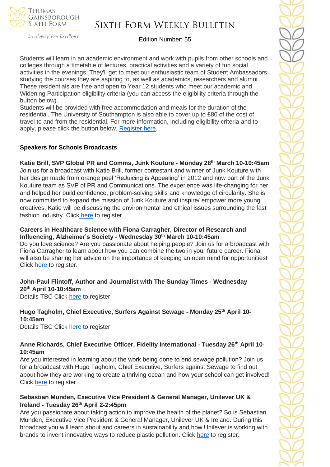

## Sixth Form Weekly Bulletin

Edition Number: 55

Students will learn in an academic environment and work with pupils from other schools and colleges through a timetable of lectures, practical activities and a variety of fun social activities in the evenings. They'll get to meet our enthusiastic team of Student Ambassadors studying the courses they are aspiring to, as well as academics, researchers and alumni. These residentials are free and open to Year 12 students who meet our academic and Widening Participation eligibility criteria (you can access the eligibility criteria through the button below).

Students will be provided with free accommodation and meals for the duration of the residential. The University of Southampton is also able to cover up to £80 of the cost of travel to and from the residential. For more information, including eligibility criteria and to apply, please click the button below. [Register here.](https://www.southampton.ac.uk/schools-colleges/experience-summer-event.page+)

#### **Speakers for Schools Broadcasts**

**Katie Brill, SVP Global PR and Comms, Junk Kouture - Monday 28th March 10-10:45am**

Join us for a broadcast with Katie Brill, former contestant and winner of Junk Kouture with her design made from orange peel 'ReJuicing is Appealing' in 2012 and now part of the Junk Kouture team as SVP of PR and Communications. The experience was life-changing for her and helped her build confidence, problem-solving skills and knowledge of circularity. She is now committed to expand the mission of Junk Kouture and inspire/ empower more young creatives. Katie will be discussing the environmental and ethical issues surrounding the fast fashion industry. Click [here](https://forms.office.com/r/Zjm17gfeAp) to register

#### **Careers in Healthcare Science with Fiona Carragher, Director of Research and Influencing, Alzheimer's Society - Wednesday 30th March 10-10:45am**

Do you love science? Are you passionate about helping people? Join us for a broadcast with Fiona Carragher to learn about how you can combine the two in your future career. Fiona will also be sharing her advice on the importance of keeping an open mind for opportunities! Click [here](https://forms.office.com/r/MwMsnt9tMa) to register.

**John-Paul Flintoff, Author and Journalist with The Sunday Times - Wednesday 20th April 10-10:45am** Details TBC Click [here](https://forms.office.com/r/iY9CefkggF) to register

**Hugo Tagholm, Chief Executive, Surfers Against Sewage - Monday 25th April 10- 10:45am** Details TBC Click [here](https://forms.office.com/r/5imUKR5U4C) to register

#### **Anne Richards, Chief Executive Officer, Fidelity International - Tuesday 26th April 10- 10:45am**

Are you interested in learning about the work being done to end sewage pollution? Join us for a broadcast with Hugo Tagholm, Chief Executive, Surfers against Sewage to find out about how they are working to create a thriving ocean and how your school can get involved! Click [here](https://forms.office.com/r/MQcK2ezfUa) to register

#### **Sebastian Munden, Executive Vice President & General Manager, Unilever UK & Ireland - Tuesday 26th April 2-2:45pm**

Are you passionate about taking action to improve the health of the planet? So is Sebastian Munden, Executive Vice President & General Manager, Unilever UK & Ireland. During this broadcast you will learn about and careers in sustainability and how Unilever is working with brands to invent innovative ways to reduce plastic pollution. Click [here](https://forms.office.com/r/vRuGnAA6W6) to register.